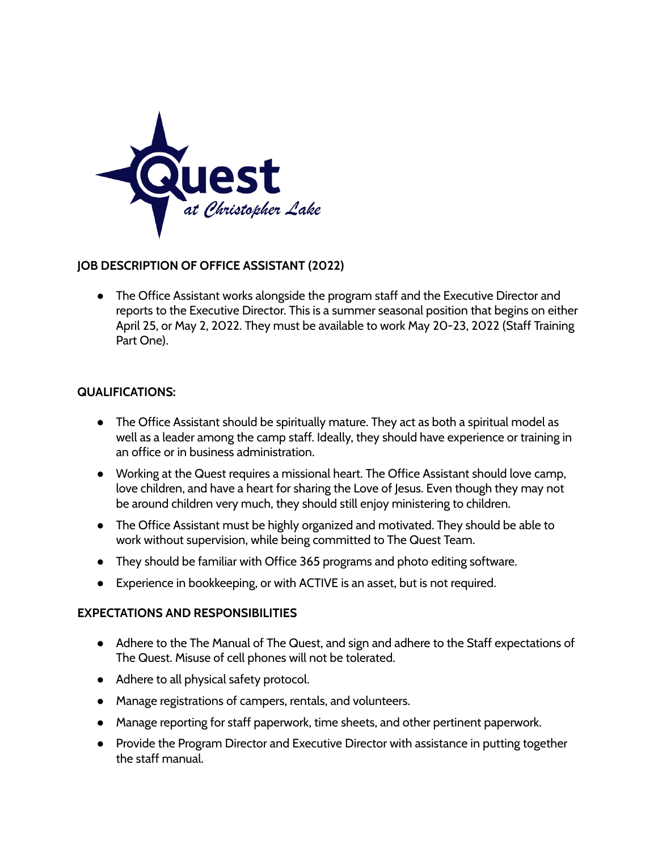

## **JOB DESCRIPTION OF OFFICE ASSISTANT (2022)**

• The Office Assistant works alongside the program staff and the Executive Director and reports to the Executive Director. This is a summer seasonal position that begins on either April 25, or May 2, 2022. They must be available to work May 20-23, 2022 (Staff Training Part One).

## **QUALIFICATIONS:**

- The Office Assistant should be spiritually mature. They act as both a spiritual model as well as a leader among the camp staff. Ideally, they should have experience or training in an office or in business administration.
- Working at the Quest requires a missional heart. The Office Assistant should love camp, love children, and have a heart for sharing the Love of Jesus. Even though they may not be around children very much, they should still enjoy ministering to children.
- The Office Assistant must be highly organized and motivated. They should be able to work without supervision, while being committed to The Quest Team.
- They should be familiar with Office 365 programs and photo editing software.
- Experience in bookkeeping, or with ACTIVE is an asset, but is not required.

## **EXPECTATIONS AND RESPONSIBILITIES**

- Adhere to the The Manual of The Quest, and sign and adhere to the Staff expectations of The Quest. Misuse of cell phones will not be tolerated.
- Adhere to all physical safety protocol.
- Manage registrations of campers, rentals, and volunteers.
- Manage reporting for staff paperwork, time sheets, and other pertinent paperwork.
- Provide the Program Director and Executive Director with assistance in putting together the staff manual.